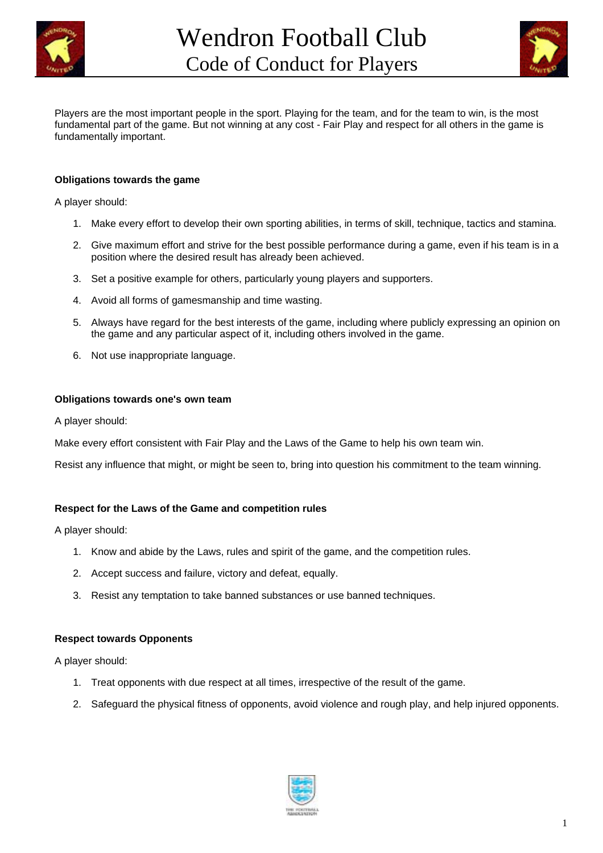



Players are the most important people in the sport. Playing for the team, and for the team to win, is the most fundamental part of the game. But not winning at any cost - Fair Play and respect for all others in the game is fundamentally important.

### **Obligations towards the game**

A player should:

- 1. Make every effort to develop their own sporting abilities, in terms of skill, technique, tactics and stamina.
- 2. Give maximum effort and strive for the best possible performance during a game, even if his team is in a position where the desired result has already been achieved.
- 3. Set a positive example for others, particularly young players and supporters.
- 4. Avoid all forms of gamesmanship and time wasting.
- 5. Always have regard for the best interests of the game, including where publicly expressing an opinion on the game and any particular aspect of it, including others involved in the game.
- 6. Not use inappropriate language.

### **Obligations towards one's own team**

A player should:

Make every effort consistent with Fair Play and the Laws of the Game to help his own team win.

Resist any influence that might, or might be seen to, bring into question his commitment to the team winning.

### **Respect for the Laws of the Game and competition rules**

A player should:

- 1. Know and abide by the Laws, rules and spirit of the game, and the competition rules.
- 2. Accept success and failure, victory and defeat, equally.
- 3. Resist any temptation to take banned substances or use banned techniques.

#### **Respect towards Opponents**

A player should:

- 1. Treat opponents with due respect at all times, irrespective of the result of the game.
- 2. Safeguard the physical fitness of opponents, avoid violence and rough play, and help injured opponents.